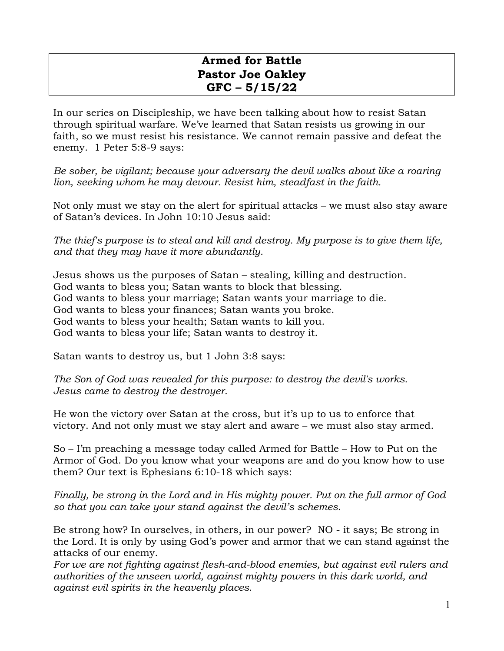## **Armed for Battle Pastor Joe Oakley GFC – 5/15/22**

In our series on Discipleship, we have been talking about how to resist Satan through spiritual warfare. We've learned that Satan resists us growing in our faith, so we must resist his resistance. We cannot remain passive and defeat the enemy. 1 Peter 5:8-9 says:

*Be sober, be vigilant; because your adversary the devil walks about like a roaring lion, seeking whom he may devour. Resist him, steadfast in the faith.*

Not only must we stay on the alert for spiritual attacks – we must also stay aware of Satan's devices. In John 10:10 Jesus said:

*The thief's purpose is to steal and kill and destroy. My purpose is to give them life, and that they may have it more abundantly.* 

Jesus shows us the purposes of Satan – stealing, killing and destruction. God wants to bless you; Satan wants to block that blessing. God wants to bless your marriage; Satan wants your marriage to die. God wants to bless your finances; Satan wants you broke. God wants to bless your health; Satan wants to kill you. God wants to bless your life; Satan wants to destroy it.

Satan wants to destroy us, but 1 John 3:8 says:

*The Son of God was revealed for this purpose: to destroy the devil's works. Jesus came to destroy the destroyer.*

He won the victory over Satan at the cross, but it's up to us to enforce that victory. And not only must we stay alert and aware – we must also stay armed.

So – I'm preaching a message today called Armed for Battle – How to Put on the Armor of God. Do you know what your weapons are and do you know how to use them? Our text is Ephesians 6:10-18 which says:

*Finally, be strong in the Lord and in His mighty power. Put on the full armor of God so that you can take your stand against the devil's schemes.*

Be strong how? In ourselves, in others, in our power? NO - it says; Be strong in the Lord. It is only by using God's power and armor that we can stand against the attacks of our enemy.

*For we are not fighting against flesh-and-blood enemies, but against evil rulers and authorities of the unseen world, against mighty powers in this dark world, and against evil spirits in the heavenly places.*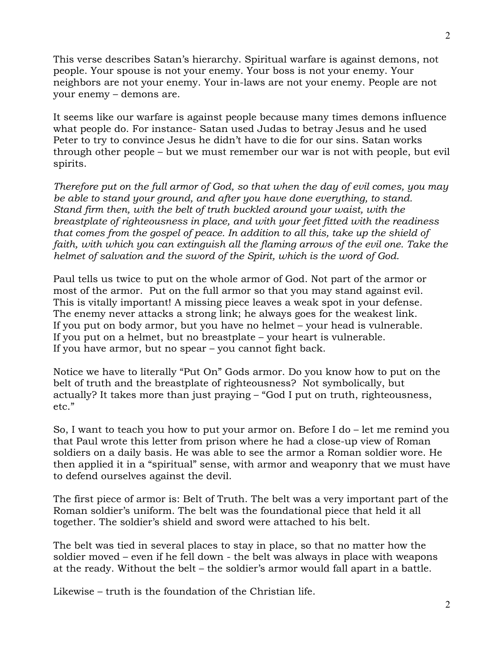This verse describes Satan's hierarchy. Spiritual warfare is against demons, not people. Your spouse is not your enemy. Your boss is not your enemy. Your neighbors are not your enemy. Your in-laws are not your enemy. People are not your enemy – demons are.

It seems like our warfare is against people because many times demons influence what people do. For instance- Satan used Judas to betray Jesus and he used Peter to try to convince Jesus he didn't have to die for our sins. Satan works through other people – but we must remember our war is not with people, but evil spirits.

*Therefore put on the full armor of God, so that when the day of evil comes, you may be able to stand your ground, and after you have done everything, to stand. Stand firm then, with the belt of truth buckled around your waist, with the breastplate of righteousness in place, and with your feet fitted with the readiness that comes from the gospel of peace. In addition to all this, take up the shield of*  faith, with which you can extinguish all the flaming arrows of the evil one. Take the *helmet of salvation and the sword of the Spirit, which is the word of God.*

Paul tells us twice to put on the whole armor of God. Not part of the armor or most of the armor. Put on the full armor so that you may stand against evil. This is vitally important! A missing piece leaves a weak spot in your defense. The enemy never attacks a strong link; he always goes for the weakest link. If you put on body armor, but you have no helmet – your head is vulnerable. If you put on a helmet, but no breastplate – your heart is vulnerable. If you have armor, but no spear – you cannot fight back.

Notice we have to literally "Put On" Gods armor. Do you know how to put on the belt of truth and the breastplate of righteousness? Not symbolically, but actually? It takes more than just praying – "God I put on truth, righteousness, etc."

So, I want to teach you how to put your armor on. Before I do – let me remind you that Paul wrote this letter from prison where he had a close-up view of Roman soldiers on a daily basis. He was able to see the armor a Roman soldier wore. He then applied it in a "spiritual" sense, with armor and weaponry that we must have to defend ourselves against the devil.

The first piece of armor is: Belt of Truth. The belt was a very important part of the Roman soldier's uniform. The belt was the foundational piece that held it all together. The soldier's shield and sword were attached to his belt.

The belt was tied in several places to stay in place, so that no matter how the soldier moved – even if he fell down - the belt was always in place with weapons at the ready. Without the belt – the soldier's armor would fall apart in a battle.

Likewise – truth is the foundation of the Christian life.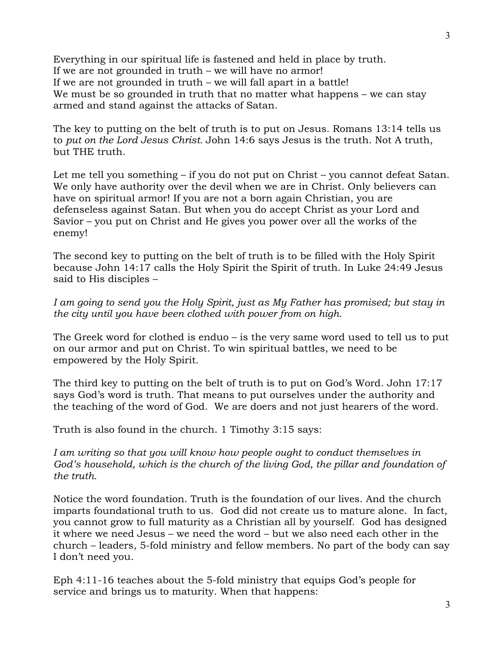Everything in our spiritual life is fastened and held in place by truth. If we are not grounded in truth – we will have no armor! If we are not grounded in truth – we will fall apart in a battle! We must be so grounded in truth that no matter what happens – we can stay armed and stand against the attacks of Satan.

The key to putting on the belt of truth is to put on Jesus. Romans 13:14 tells us to *put on the Lord Jesus Christ.* John 14:6 says Jesus is the truth. Not A truth, but THE truth.

Let me tell you something – if you do not put on Christ – you cannot defeat Satan. We only have authority over the devil when we are in Christ. Only believers can have on spiritual armor! If you are not a born again Christian, you are defenseless against Satan. But when you do accept Christ as your Lord and Savior – you put on Christ and He gives you power over all the works of the enemy!

The second key to putting on the belt of truth is to be filled with the Holy Spirit because John 14:17 calls the Holy Spirit the Spirit of truth. In Luke 24:49 Jesus said to His disciples –

*I am going to send you the Holy Spirit, just as My Father has promised; but stay in the city until you have been clothed with power from on high.*

The Greek word for clothed is enduo – is the very same word used to tell us to put on our armor and put on Christ. To win spiritual battles, we need to be empowered by the Holy Spirit.

The third key to putting on the belt of truth is to put on God's Word. John 17:17 says God's word is truth. That means to put ourselves under the authority and the teaching of the word of God. We are doers and not just hearers of the word.

Truth is also found in the church. 1 Timothy 3:15 says:

*I am writing so that you will know how people ought to conduct themselves in*  God's household, which is the church of the living God, the pillar and foundation of *the truth.*

Notice the word foundation. Truth is the foundation of our lives. And the church imparts foundational truth to us. God did not create us to mature alone. In fact, you cannot grow to full maturity as a Christian all by yourself. God has designed it where we need Jesus – we need the word – but we also need each other in the church – leaders, 5-fold ministry and fellow members. No part of the body can say I don't need you.

Eph 4:11-16 teaches about the 5-fold ministry that equips God's people for service and brings us to maturity. When that happens: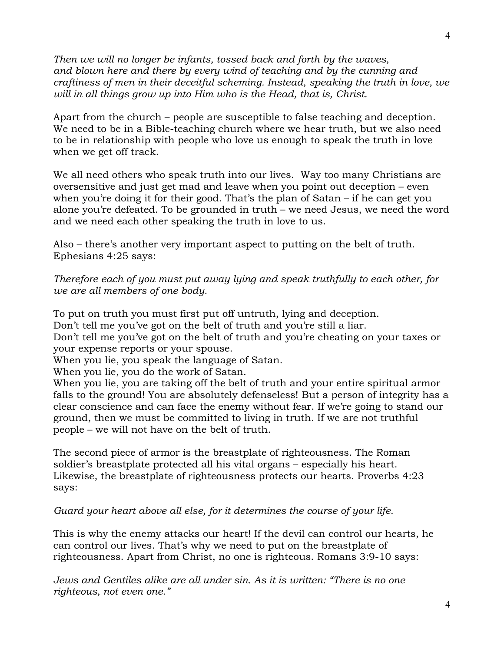*Then we will no longer be infants, tossed back and forth by the waves, and blown here and there by every wind of teaching and by the cunning and craftiness of men in their deceitful scheming. Instead, speaking the truth in love, we will in all things grow up into Him who is the Head, that is, Christ.* 

Apart from the church – people are susceptible to false teaching and deception. We need to be in a Bible-teaching church where we hear truth, but we also need to be in relationship with people who love us enough to speak the truth in love when we get off track.

We all need others who speak truth into our lives. Way too many Christians are oversensitive and just get mad and leave when you point out deception – even when you're doing it for their good. That's the plan of Satan – if he can get you alone you're defeated. To be grounded in truth – we need Jesus, we need the word and we need each other speaking the truth in love to us.

Also – there's another very important aspect to putting on the belt of truth. Ephesians 4:25 says:

*Therefore each of you must put away lying and speak truthfully to each other, for we are all members of one body.* 

To put on truth you must first put off untruth, lying and deception.

Don't tell me you've got on the belt of truth and you're still a liar.

Don't tell me you've got on the belt of truth and you're cheating on your taxes or your expense reports or your spouse.

When you lie, you speak the language of Satan.

When you lie, you do the work of Satan.

When you lie, you are taking off the belt of truth and your entire spiritual armor falls to the ground! You are absolutely defenseless! But a person of integrity has a clear conscience and can face the enemy without fear. If we're going to stand our ground, then we must be committed to living in truth. If we are not truthful people – we will not have on the belt of truth.

The second piece of armor is the breastplate of righteousness. The Roman soldier's breastplate protected all his vital organs – especially his heart. Likewise, the breastplate of righteousness protects our hearts. Proverbs 4:23 says:

*Guard your heart above all else, for it determines the course of your life.*

This is why the enemy attacks our heart! If the devil can control our hearts, he can control our lives. That's why we need to put on the breastplate of righteousness. Apart from Christ, no one is righteous. Romans 3:9-10 says:

*Jews and Gentiles alike are all under sin. As it is written: "There is no one righteous, not even one."*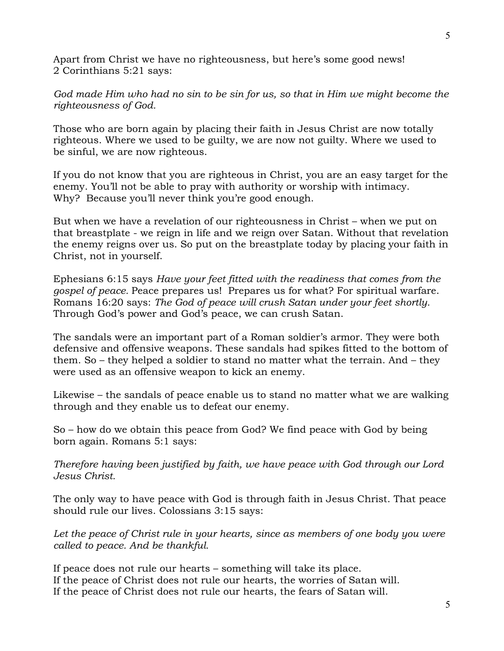Apart from Christ we have no righteousness, but here's some good news! 2 Corinthians 5:21 says:

*God made Him who had no sin to be sin for us, so that in Him we might become the righteousness of God.* 

Those who are born again by placing their faith in Jesus Christ are now totally righteous. Where we used to be guilty, we are now not guilty. Where we used to be sinful, we are now righteous.

If you do not know that you are righteous in Christ, you are an easy target for the enemy. You'll not be able to pray with authority or worship with intimacy. Why? Because you'll never think you're good enough.

But when we have a revelation of our righteousness in Christ – when we put on that breastplate - we reign in life and we reign over Satan. Without that revelation the enemy reigns over us. So put on the breastplate today by placing your faith in Christ, not in yourself.

Ephesians 6:15 says *Have your feet fitted with the readiness that comes from the gospel of peace.* Peace prepares us! Prepares us for what? For spiritual warfare. Romans 16:20 says: *The God of peace will crush Satan under your feet shortly.* Through God's power and God's peace, we can crush Satan.

The sandals were an important part of a Roman soldier's armor. They were both defensive and offensive weapons. These sandals had spikes fitted to the bottom of them. So – they helped a soldier to stand no matter what the terrain. And – they were used as an offensive weapon to kick an enemy.

Likewise – the sandals of peace enable us to stand no matter what we are walking through and they enable us to defeat our enemy.

So – how do we obtain this peace from God? We find peace with God by being born again. Romans 5:1 says:

*Therefore having been justified by faith, we have peace with God through our Lord Jesus Christ.*

The only way to have peace with God is through faith in Jesus Christ. That peace should rule our lives. Colossians 3:15 says:

Let the peace of Christ rule in your hearts, since as members of one body you were *called to peace. And be thankful.* 

If peace does not rule our hearts – something will take its place. If the peace of Christ does not rule our hearts, the worries of Satan will. If the peace of Christ does not rule our hearts, the fears of Satan will.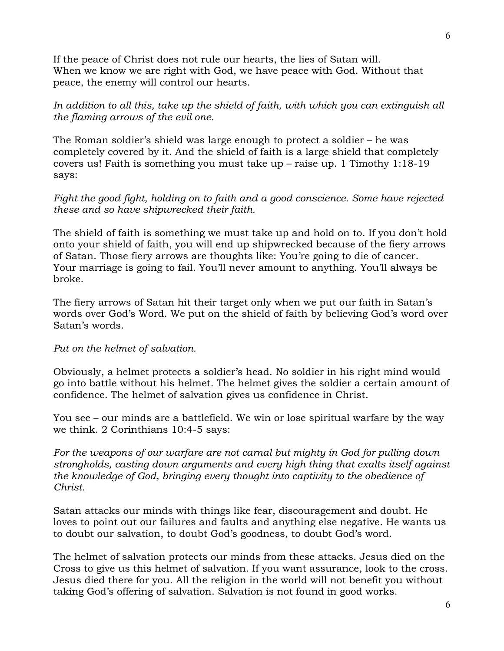If the peace of Christ does not rule our hearts, the lies of Satan will. When we know we are right with God, we have peace with God. Without that peace, the enemy will control our hearts.

*In addition to all this, take up the shield of faith, with which you can extinguish all the flaming arrows of the evil one.*

The Roman soldier's shield was large enough to protect a soldier – he was completely covered by it. And the shield of faith is a large shield that completely covers us! Faith is something you must take up – raise up. 1 Timothy 1:18-19 says:

## *Fight the good fight, holding on to faith and a good conscience. Some have rejected these and so have shipwrecked their faith.*

The shield of faith is something we must take up and hold on to. If you don't hold onto your shield of faith, you will end up shipwrecked because of the fiery arrows of Satan. Those fiery arrows are thoughts like: You're going to die of cancer. Your marriage is going to fail. You'll never amount to anything. You'll always be broke.

The fiery arrows of Satan hit their target only when we put our faith in Satan's words over God's Word. We put on the shield of faith by believing God's word over Satan's words.

## *Put on the helmet of salvation.*

Obviously, a helmet protects a soldier's head. No soldier in his right mind would go into battle without his helmet. The helmet gives the soldier a certain amount of confidence. The helmet of salvation gives us confidence in Christ.

You see – our minds are a battlefield. We win or lose spiritual warfare by the way we think. 2 Corinthians 10:4-5 says:

*For the weapons of our warfare are not carnal but mighty in God for pulling down strongholds, casting down arguments and every high thing that exalts itself against the knowledge of God, bringing every thought into captivity to the obedience of Christ.*

Satan attacks our minds with things like fear, discouragement and doubt. He loves to point out our failures and faults and anything else negative. He wants us to doubt our salvation, to doubt God's goodness, to doubt God's word.

The helmet of salvation protects our minds from these attacks. Jesus died on the Cross to give us this helmet of salvation. If you want assurance, look to the cross. Jesus died there for you. All the religion in the world will not benefit you without taking God's offering of salvation. Salvation is not found in good works.